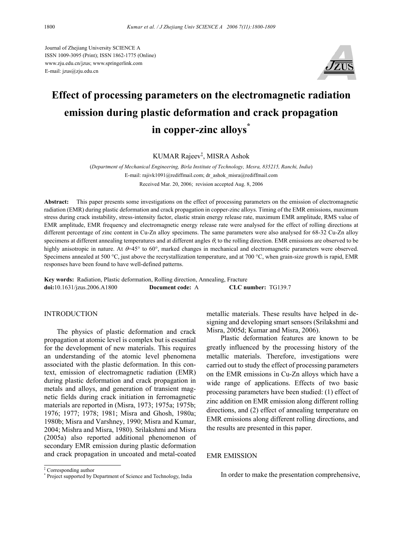Journal of Zhejiang University SCIENCE A ISSN 1009-3095 (Print); ISSN 1862-1775 (Online) www.zju.edu.cn/jzus; www.springerlink.com E-mail: jzus@zju.edu.cn



# **Effect of processing parameters on the electromagnetic radiation emission during plastic deformation and crack propagation in copper-zinc alloys\***

KUMAR Rajeev‡ , MISRA Ashok

(*Department of Mechanical Engineering, Birla Institute of Technology, Mesra, 835215, Ranchi, India*) E-mail: rajivk1091@rediffmail.com; dr\_ashok\_misra@rediffmail.com Received Mar. 20, 2006; revision accepted Aug. 8, 2006

**Abstract:** This paper presents some investigations on the effect of processing parameters on the emission of electromagnetic radiation (EMR) during plastic deformation and crack propagation in copper-zinc alloys. Timing of the EMR emissions, maximum stress during crack instability, stress-intensity factor, elastic strain energy release rate, maximum EMR amplitude, RMS value of EMR amplitude, EMR frequency and electromagnetic energy release rate were analysed for the effect of rolling directions at different percentage of zinc content in Cu-Zn alloy specimens. The same parameters were also analysed for 68-32 Cu-Zn alloy specimens at different annealing temperatures and at different angles  $\theta$ , to the rolling direction. EMR emissions are observed to be highly anisotropic in nature. At  $\theta = 45^\circ$  to 60°, marked changes in mechanical and electromagnetic parameters were observed. Specimens annealed at 500 °C, just above the recrystallization temperature, and at 700 °C, when grain-size growth is rapid, EMR responses have been found to have well-defined patterns.

**Key words:** Radiation, Plastic deformation, Rolling direction, Annealing, Fracture **doi:**10.1631/jzus.2006.A1800 **Document code:** A **CLC number:** TG139.7

## INTRODUCTION

The physics of plastic deformation and crack propagation at atomic level is complex but is essential for the development of new materials. This requires an understanding of the atomic level phenomena associated with the plastic deformation. In this context, emission of electromagnetic radiation (EMR) during plastic deformation and crack propagation in metals and alloys, and generation of transient magnetic fields during crack initiation in ferromagnetic materials are reported in (Misra, 1973; 1975a; 1975b; 1976; 1977; 1978; 1981; Misra and Ghosh, 1980a; 1980b; Misra and Varshney, 1990; Misra and Kumar, 2004; Mishra and Misra, 1980). Srilakshmi and Misra (2005a) also reported additional phenomenon of secondary EMR emission during plastic deformation and crack propagation in uncoated and metal-coated metallic materials. These results have helped in designing and developing smart sensors (Srilakshmi and Misra, 2005d; Kumar and Misra, 2006).

Plastic deformation features are known to be greatly influenced by the processing history of the metallic materials. Therefore, investigations were carried out to study the effect of processing parameters on the EMR emissions in Cu-Zn alloys which have a wide range of applications. Effects of two basic processing parameters have been studied: (1) effect of zinc addition on EMR emission along different rolling directions, and (2) effect of annealing temperature on EMR emissions along different rolling directions, and the results are presented in this paper.

## EMR EMISSION

In order to make the presentation comprehensive,

<sup>‡</sup> Corresponding author

<sup>\*</sup> Project supported by Department of Science and Technology, India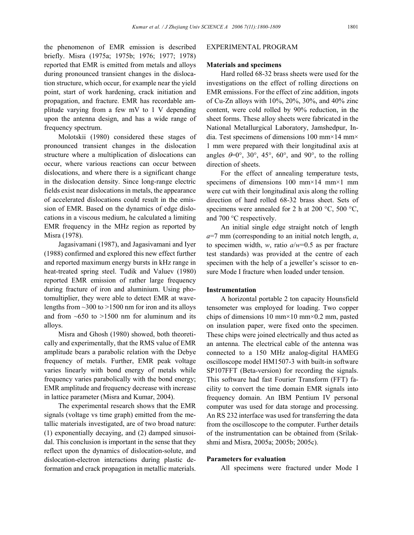the phenomenon of EMR emission is described briefly. Misra (1975a; 1975b; 1976; 1977; 1978) reported that EMR is emitted from metals and alloys during pronounced transient changes in the dislocation structure, which occur, for example near the yield point, start of work hardening, crack initiation and propagation, and fracture. EMR has recordable amplitude varying from a few mV to 1 V depending upon the antenna design, and has a wide range of frequency spectrum.

Molotskii (1980) considered these stages of pronounced transient changes in the dislocation structure where a multiplication of dislocations can occur, where various reactions can occur between dislocations, and where there is a significant change in the dislocation density. Since long-range electric fields exist near dislocations in metals, the appearance of accelerated dislocations could result in the emission of EMR. Based on the dynamics of edge dislocations in a viscous medium, he calculated a limiting EMR frequency in the MHz region as reported by Misra (1978).

Jagasivamani (1987), and Jagasivamani and Iyer (1988) confirmed and explored this new effect further and reported maximum energy bursts in kHz range in heat-treated spring steel. Tudik and Valuev (1980) reported EMR emission of rather large frequency during fracture of iron and aluminium. Using photomultiplier, they were able to detect EMR at wavelengths from  $\sim$ 300 to  $>$ 1500 nm for iron and its alloys and from  $~50$  to  $~1500$  nm for aluminum and its alloys.

Misra and Ghosh (1980) showed, both theoretically and experimentally, that the RMS value of EMR amplitude bears a parabolic relation with the Debye frequency of metals. Further, EMR peak voltage varies linearly with bond energy of metals while frequency varies parabolically with the bond energy; EMR amplitude and frequency decrease with increase in lattice parameter (Misra and Kumar, 2004).

The experimental research shows that the EMR signals (voltage vs time graph) emitted from the metallic materials investigated, are of two broad nature: (1) exponentially decaying, and (2) damped sinusoidal. This conclusion is important in the sense that they reflect upon the dynamics of dislocation-solute, and dislocation-electron interactions during plastic deformation and crack propagation in metallic materials.

#### EXPERIMENTAL PROGRAM

#### **Materials and specimens**

Hard rolled 68-32 brass sheets were used for the investigations on the effect of rolling directions on EMR emissions. For the effect of zinc addition, ingots of Cu-Zn alloys with 10%, 20%, 30%, and 40% zinc content, were cold rolled by 90% reduction, in the sheet forms. These alloy sheets were fabricated in the National Metallurgical Laboratory, Jamshedpur, India. Test specimens of dimensions 100 mm×14 mm× 1 mm were prepared with their longitudinal axis at angles  $\theta = 0^\circ$ , 30°, 45°, 60°, and 90°, to the rolling direction of sheets.

For the effect of annealing temperature tests, specimens of dimensions 100 mm×14 mm×1 mm were cut with their longitudinal axis along the rolling direction of hard rolled 68-32 brass sheet. Sets of specimens were annealed for 2 h at 200  $^{\circ}$ C, 500  $^{\circ}$ C, and 700 °C respectively.

An initial single edge straight notch of length *a*=7 mm (corresponding to an initial notch length, *a*, to specimen width, *w*, ratio *a*/*w*=0.5 as per fracture test standards) was provided at the centre of each specimen with the help of a jeweller's scissor to ensure Mode I fracture when loaded under tension.

# **Instrumentation**

A horizontal portable 2 ton capacity Hounsfield tensometer was employed for loading. Two copper chips of dimensions 10 mm $\times$ 10 mm $\times$ 0.2 mm, pasted on insulation paper, were fixed onto the specimen. These chips were joined electrically and thus acted as an antenna. The electrical cable of the antenna was connected to a 150 MHz analog-digital HAMEG oscilloscope model HM1507-3 with built-in software SP107FFT (Beta-version) for recording the signals. This software had fast Fourier Transform (FFT) facility to convert the time domain EMR signals into frequency domain. An IBM Pentium IV personal computer was used for data storage and processing. An RS 232 interface was used for transferring the data from the oscilloscope to the computer. Further details of the instrumentation can be obtained from (Srilakshmi and Misra, 2005a; 2005b; 2005c).

#### **Parameters for evaluation**

All specimens were fractured under Mode I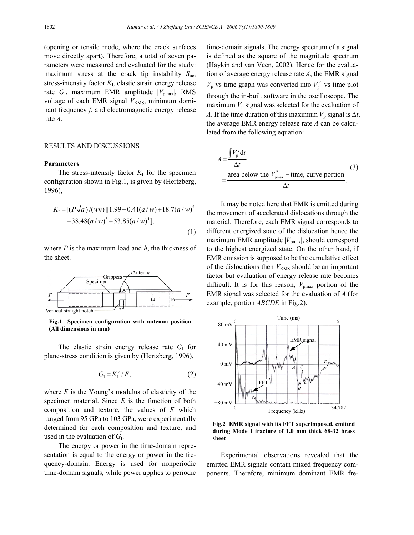(opening or tensile mode, where the crack surfaces move directly apart). Therefore, a total of seven parameters were measured and evaluated for the study: maximum stress at the crack tip instability *S*uc, stress-intensity factor  $K_I$ , elastic strain energy release rate  $G_I$ , maximum EMR amplitude  $|V_{\text{pmax}}|$ , RMS voltage of each EMR signal  $V_{RMS}$ , minimum dominant frequency *f*, and electromagnetic energy release rate *A*.

#### RESULTS AND DISCUSSIONS

## **Parameters**

The stress-intensity factor  $K_I$  for the specimen configuration shown in Fig.1, is given by (Hertzberg, 1996),

$$
K_1 = [(P\sqrt{a})/(wh)][1.99 - 0.41(a/w) + 18.7(a/w)^2 -38.48(a/w)^3 + 53.85(a/w)^4],
$$
\n(1)

where *P* is the maximum load and *h*, the thickness of the sheet.



**Fig.1 Specimen configuration with antenna position (All dimensions in mm)** 

The elastic strain energy release rate  $G<sub>I</sub>$  for plane-stress condition is given by (Hertzberg, 1996),

$$
G_{I} = K_{I}^{2} / E, \tag{2}
$$

where *E* is the Young's modulus of elasticity of the specimen material. Since *E* is the function of both composition and texture, the values of *E* which ranged from 95 GPa to 103 GPa, were experimentally determined for each composition and texture, and used in the evaluation of  $G<sub>I</sub>$ .

The energy or power in the time-domain representation is equal to the energy or power in the frequency-domain. Energy is used for nonperiodic time-domain signals, while power applies to periodic time-domain signals. The energy spectrum of a signal is defined as the square of the magnitude spectrum (Haykin and van Veen, 2002). Hence for the evaluation of average energy release rate *A*, the EMR signal  $V_p$  vs time graph was converted into  $V_p^2$  vs time plot through the in-built software in the oscilloscope. The maximum  $V_p$  signal was selected for the evaluation of *A*. If the time duration of this maximum  $V_p$  signal is  $\Delta t$ , the average EMR energy release rate *A* can be calculated from the following equation:

$$
A = \frac{\int V_{\rm p}^2 dt}{\Delta t}
$$
  
= 
$$
\frac{\text{area below the } V_{\rm pmax}^2 - \text{time, curve portion}}{\Delta t}
$$
 (3)

It may be noted here that EMR is emitted during the movement of accelerated dislocations through the material. Therefore, each EMR signal corresponds to different energized state of the dislocation hence the maximum EMR amplitude  $|V_{\text{pmax}}|$ , should correspond to the highest energized state. On the other hand, if EMR emission is supposed to be the cumulative effect of the dislocations then  $V_{RMS}$  should be an important factor but evaluation of energy release rate becomes difficult. It is for this reason, *V*pmax portion of the EMR signal was selected for the evaluation of *A* (for example, portion *ABCDE* in Fig.2).



**Fig.2 EMR signal with its FFT superimposed, emitted during Mode I fracture of 1.0 mm thick 68-32 brass sheet**

Experimental observations revealed that the emitted EMR signals contain mixed frequency components. Therefore, minimum dominant EMR fre-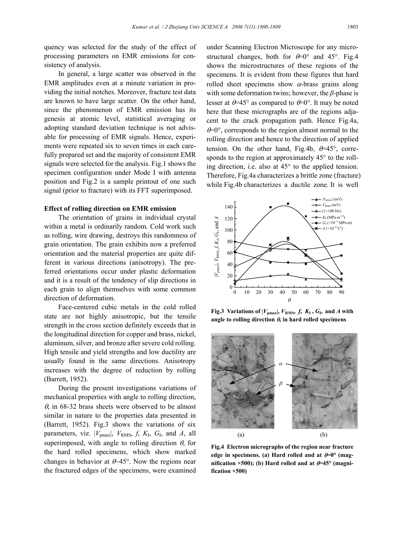quency was selected for the study of the effect of processing parameters on EMR emissions for consistency of analysis.

In general, a large scatter was observed in the EMR amplitudes even at a minute variation in providing the initial notches. Moreover, fracture test data are known to have large scatter. On the other hand, since the phenomenon of EMR emission has its genesis at atomic level, statistical averaging or adopting standard deviation technique is not advisable for processing of EMR signals. Hence, experiments were repeated six to seven times in each carefully prepared set and the majority of consistent EMR signals were selected for the analysis. Fig.1 shows the specimen configuration under Mode I with antenna position and Fig.2 is a sample printout of one such signal (prior to fracture) with its FFT superimposed.

#### **Effect of rolling direction on EMR emission**

The orientation of grains in individual crystal within a metal is ordinarily random. Cold work such as rolling, wire drawing, destroys this randomness of grain orientation. The grain exhibits now a preferred orientation and the material properties are quite different in various directions (anisotropy). The preferred orientations occur under plastic deformation and it is a result of the tendency of slip directions in each grain to align themselves with some common direction of deformation.

Face-centered cubic metals in the cold rolled state are not highly anisotropic, but the tensile strength in the cross section definitely exceeds that in the longitudinal direction for copper and brass, nickel, aluminum, silver, and bronze after severe cold rolling. High tensile and yield strengths and low ductility are usually found in the same directions. Anisotropy increases with the degree of reduction by rolling (Barrett, 1952).

During the present investigations variations of mechanical properties with angle to rolling direction,  $\theta$ , in 68-32 brass sheets were observed to be almost similar in nature to the properties data presented in (Barrett, 1952). Fig.3 shows the variations of six parameters, viz.  $|V_{\text{pmax}}|$ ,  $V_{\text{RMS}}$ ,  $f$ ,  $K_{\text{I}}$ ,  $G_{\text{I}}$ , and  $A$ , all superimposed, with angle to rolling direction  $\theta$ , for the hard rolled specimens, which show marked changes in behavior at  $\theta$ -45°. Now the regions near the fractured edges of the specimens, were examined

under Scanning Electron Microscope for any microstructural changes, both for  $\theta = 0^{\circ}$  and 45°. Fig.4 shows the microstructures of these regions of the specimens. It is evident from these figures that hard rolled sheet specimens show  $\alpha$ -brass grains along with some deformation twins; however, the *β*-phase is lesser at  $\theta$ =45° as compared to  $\theta$ =0°. It may be noted here that these micrographs are of the regions adjacent to the crack propagation path. Hence Fig.4a,  $\theta$ =0°, corresponds to the region almost normal to the rolling direction and hence to the direction of applied tension. On the other hand, Fig.4b,  $\theta = 45^{\circ}$ , corresponds to the region at approximately  $45^{\circ}$  to the rolling direction, i.e. also at 45° to the applied tension. Therefore, Fig.4a characterizes a brittle zone (fracture) while Fig.4b characterizes a ductile zone. It is well



**Fig.3** Variations of  $|V_{\text{pmax}}|$ ,  $V_{\text{RMS}}$ ,  $f$ ,  $K_{\text{I}}$ ,  $G_{\text{I}}$ , and  $A$  with **angle to rolling direction** θ**, in hard rolled specimens** 



**Fig.4 Electron micrographs of the region near fracture edge in specimens. (a) Hard rolled and at** θ**=0° (mag**nification  $\times$ 500); (b) Hard rolled and at  $\theta$ =45° (magni**fication ×500)**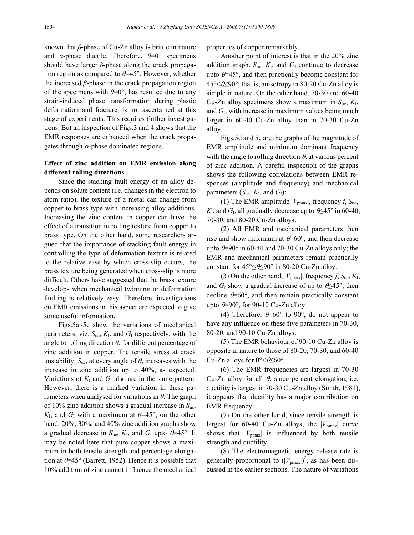known that *β*-phase of Cu-Zn alloy is brittle in nature and *α*-phase ductile. Therefore, *θ*=0° specimens should have larger *β*-phase along the crack propagation region as compared to *θ*=45°. However, whether the increased *β*-phase in the crack propagation region of the specimens with  $\theta = 0^\circ$ , has resulted due to any strain-induced phase transformation during plastic deformation and fracture, is not ascertained at this stage of experiments. This requires further investigations. But an inspection of Figs.3 and 4 shows that the EMR responses are enhanced when the crack propagates through  $\alpha$ -phase dominated regions.

# **Effect of zinc addition on EMR emission along different rolling directions**

Since the stacking fault energy of an alloy depends on solute content (i.e. changes in the electron to atom ratio), the texture of a metal can change from copper to brass type with increasing alloy additions. Increasing the zinc content in copper can have the effect of a transition in rolling texture from copper to brass type. On the other hand, some researchers argued that the importance of stacking fault energy in controlling the type of deformation texture is related to the relative ease by which cross-slip occurs, the brass texture being generated when cross-slip is more difficult. Others have suggested that the brass texture develops when mechanical twinning or deformation faulting is relatively easy. Therefore, investigations on EMR emissions in this aspect are expected to give some useful information.

Figs.5a~5c show the variations of mechanical parameters, viz.  $S_{\text{uc}}$ ,  $K_I$ , and  $G_I$  respectively, with the angle to rolling direction  $\theta$ , for different percentage of zinc addition in copper. The tensile stress at crack unstability,  $S_{\text{uc}}$ , at every angle of  $\theta$ , increases with the increase in zinc addition up to 40%, as expected. Variations of  $K_I$  and  $G_I$  also are in the same pattern. However, there is a marked variation in these parameters when analysed for variations in *θ*. The graph of 10% zinc addition shows a gradual increase in *S*uc,  $K_I$ , and  $G_I$  with a maximum at  $\theta$ =45°; on the other hand, 20%, 30%, and 40% zinc addition graphs show a gradual decrease in  $S_{\text{uc}}$ ,  $K_{\text{I}}$ , and  $G_{\text{I}}$  upto  $\theta$ =45°. It may be noted here that pure copper shows a maximum in both tensile strength and percentage elongation at  $\theta$ =45° (Barrett, 1952). Hence it is possible that 10% addition of zinc cannot influence the mechanical

properties of copper remarkably.

Another point of interest is that in the 20% zinc addition graph.  $S_{\text{uc}}$ ,  $K_{\text{I}}$ , and  $G_{\text{I}}$  continue to decrease upto  $\theta$ =45°, and then practically become constant for 45°<θ≤90°; that is, anisotropy in 80-20 Cu-Zn alloy is simple in nature. On the other hand, 70-30 and 60-40 Cu-Zn alloy specimens show a maximum in  $S_{\text{uc}}$ ,  $K_{\text{I}}$ , and *G*I, with increase in maximum values being much larger in 60-40 Cu-Zn alloy than in 70-30 Cu-Zn alloy.

Figs.5d and 5e are the graphs of the magnitude of EMR amplitude and minimum dominant frequency with the angle to rolling direction  $\theta$ , at various percent of zinc addition. A careful inspection of the graphs shows the following correlations between EMR responses (amplitude and frequency) and mechanical parameters  $(S_{\text{uc}}, K_{\text{I}}, \text{ and } G_{\text{I}})$ :

(1) The EMR amplitude  $|V_{\text{pmax}}|$ , frequency *f*,  $S_{\text{uc}}$ ,  $K_I$ , and  $G_I$ , all gradually decrease up to  $\theta \leq 45^\circ$  in 60-40, 70-30, and 80-20 Cu-Zn alloys.

(2) All EMR and mechanical parameters then rise and show maximum at  $\theta$ =60°, and then decrease upto  $\theta$ =90° in 60-40 and 70-30 Cu-Zn alloys only; the EMR and mechanical parameters remain practically constant for  $45^{\circ} \leq \theta \leq 90^{\circ}$  in 80-20 Cu-Zn alloy.

(3) On the other hand,  $|V_{\text{pmax}}|$ , frequency *f*,  $S_{\text{uc}}, K_{\text{I}}$ , and  $G_I$  show a gradual increase of up to  $\theta \leq 45^\circ$ , then decline  $\theta$ =60°, and then remain practically constant upto  $\theta = 90^\circ$ , for 90-10 Cu-Zn alloy.

(4) Therefore,  $\theta = 60^\circ$  to 90°, do not appear to have any influence on these five parameters in 70-30, 80-20, and 90-10 Cu-Zn alloys.

(5) The EMR behaviour of 90-10 Cu-Zn alloy is opposite in nature to those of 80-20, 70-30, and 60-40 Cu-Zn alloys for  $0^{\circ} < \theta \leq 60^{\circ}$ .

(6) The EMR frequencies are largest in 70-30 Cu-Zn alloy for all  $\theta$ , since percent elongation, i.e. ductility is largest in 70-30 Cu-Zn alloy (Smith, 1981), it appears that ductility has a major contribution on EMR frequency.

(7) On the other hand, since tensile strength is largest for 60-40 Cu-Zn alloys, the  $|V_{\text{pmax}}|$  curve shows that  $|V_{\text{pmax}}|$  is influenced by both tensile strength and ductility.

(8) The electromagnetic energy release rate is generally proportional to  $(|V_{\text{pmax}}|)^2$ , as has been discussed in the earlier sections. The nature of variations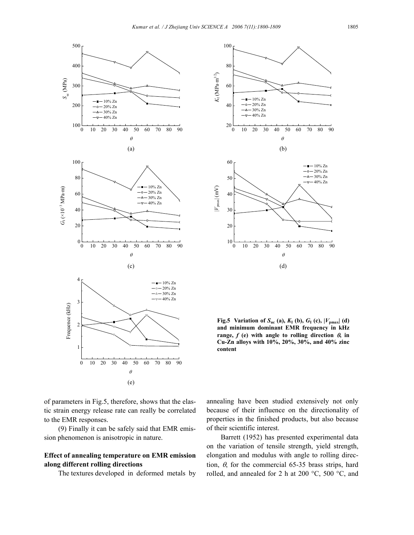



**Fig.5** Variation of  $S_{uc}$  (a),  $K_I$  (b),  $G_I$  (c),  $|V_{pmax}|$  (d) **and minimum dominant EMR frequency in kHz range,**  $f$ **(e)** with angle to rolling direction  $\theta$ , in **Cu-Zn alloys with 10%, 20%, 30%, and 40% zinc content** 

of parameters in Fig.5, therefore, shows that the elastic strain energy release rate can really be correlated to the EMR responses.

(9) Finally it can be safely said that EMR emission phenomenon is anisotropic in nature.

# **Effect of annealing temperature on EMR emission along different rolling directions**

The textures developed in deformed metals by

annealing have been studied extensively not only because of their influence on the directionality of properties in the finished products, but also because of their scientific interest.

Barrett (1952) has presented experimental data on the variation of tensile strength, yield strength, elongation and modulus with angle to rolling direction,  $\theta$ , for the commercial 65-35 brass strips, hard rolled, and annealed for 2 h at 200 °C, 500 °C, and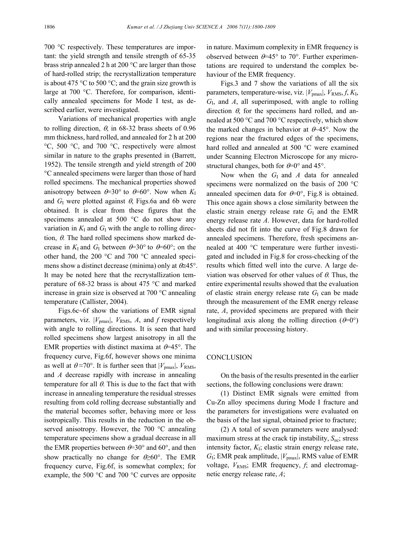700 °C respectively. These temperatures are important: the yield strength and tensile strength of 65-35 brass strip annealed 2 h at 200 °C are larger than those of hard-rolled strip; the recrystallization temperature is about 475  $\degree$ C to 500  $\degree$ C; and the grain size growth is large at 700 °C. Therefore, for comparison, identically annealed specimens for Mode I test, as described earlier, were investigated.

Variations of mechanical properties with angle to rolling direction,  $\theta$ , in 68-32 brass sheets of 0.96 mm thickness, hard rolled, and annealed for 2 h at 200 °C, 500 °C, and 700 °C, respectively were almost similar in nature to the graphs presented in (Barrett, 1952). The tensile strength and yield strength of 200 °C annealed specimens were larger than those of hard rolled specimens. The mechanical properties showed anisotropy between  $\theta = 30^{\circ}$  to  $\theta = 60^{\circ}$ . Now when  $K_I$ and  $G_I$  were plotted against  $\theta$ , Figs.6a and 6b were obtained. It is clear from these figures that the specimens annealed at 500 °C do not show any variation in  $K_I$  and  $G_I$  with the angle to rolling direction,  $\theta$ . The hard rolled specimens show marked decrease in  $K_I$  and  $G_I$  between  $\theta = 30^\circ$  to  $\theta = 60^\circ$ ; on the other hand, the 200 °C and 700 °C annealed specimens show a distinct decrease (minima) only at  $\theta \cong 45^{\circ}$ . It may be noted here that the recrystallization temperature of 68-32 brass is about 475 °C and marked increase in grain size is observed at 700 °C annealing temperature (Callister, 2004).

Figs.6c~6f show the variations of EMR signal parameters, viz.  $|V_{\text{pmax}}|$ ,  $V_{\text{RMS}}$ , A, and f respectively with angle to rolling directions. It is seen that hard rolled specimens show largest anisotropy in all the EMR properties with distinct maxima at  $\theta$ =45°. The frequency curve, Fig.6f, however shows one minima as well at  $\theta \approx 70^{\circ}$ . It is further seen that  $|V_{\text{pmax}}|$ ,  $V_{\text{RMS}}$ , and *A* decrease rapidly with increase in annealing temperature for all  $\theta$ . This is due to the fact that with increase in annealing temperature the residual stresses resulting from cold rolling decrease substantially and the material becomes softer, behaving more or less isotropically. This results in the reduction in the observed anisotropy. However, the 700 °C annealing temperature specimens show a gradual decrease in all the EMR properties between  $\theta = 30^{\circ}$  and 60°, and then show practically no change for  $\theta \geq 60^{\circ}$ . The EMR frequency curve, Fig.6f, is somewhat complex; for example, the 500 °C and 700 °C curves are opposite

in nature. Maximum complexity in EMR frequency is observed between  $\theta$ =45° to 70°. Further experimentations are required to understand the complex behaviour of the EMR frequency.

Figs.3 and 7 show the variations of all the six parameters, temperature-wise, viz.  $|V_{pmax}|$ ,  $V_{RMS}$ ,  $f$ ,  $K_I$ , *G*I, and *A*, all superimposed, with angle to rolling direction  $\theta$ , for the specimens hard rolled, and annealed at 500 °C and 700 °C respectively, which show the marked changes in behavior at  $\theta$ -45°. Now the regions near the fractured edges of the specimens, hard rolled and annealed at 500 °C were examined under Scanning Electron Microscope for any microstructural changes, both for  $\theta = 0^\circ$  and 45°.

Now when the *G*<sub>I</sub> and *A* data for annealed specimens were normalized on the basis of 200 °C annealed specimen data for  $\theta = 0^\circ$ , Fig.8 is obtained. This once again shows a close similarity between the elastic strain energy release rate  $G<sub>I</sub>$  and the EMR energy release rate *A*. However, data for hard-rolled sheets did not fit into the curve of Fig.8 drawn for annealed specimens. Therefore, fresh specimens annealed at 400 °C temperature were further investigated and included in Fig.8 for cross-checking of the results which fitted well into the curve. A large deviation was observed for other values of  $\theta$ . Thus, the entire experimental results showed that the evaluation of elastic strain energy release rate  $G<sub>I</sub>$  can be made through the measurement of the EMR energy release rate, *A*, provided specimens are prepared with their longitudinal axis along the rolling direction  $(\theta=0^{\circ})$ and with similar processing history.

## **CONCLUSION**

On the basis of the results presented in the earlier sections, the following conclusions were drawn:

(1) Distinct EMR signals were emitted from Cu-Zn alloy specimens during Mode I fracture and the parameters for investigations were evaluated on the basis of the last signal, obtained prior to fracture;

(2) A total of seven parameters were analysed: maximum stress at the crack tip instability, *S*uc; stress intensity factor, *K*I; elastic strain energy release rate, *G*I; EMR peak amplitude, |*V*pmax|, RMS value of EMR voltage,  $V_{RMS}$ ; EMR frequency,  $f$ , and electromagnetic energy release rate, *A*;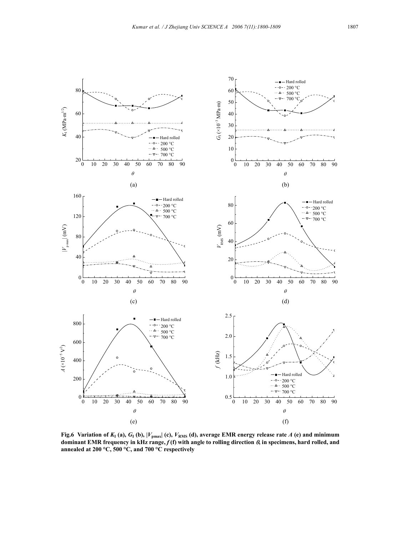

**Fig.6** Variation of  $K_I$  (a),  $G_I$  (b),  $|V_{pmax}|$  (c),  $V_{RMS}$  (d), average EMR energy release rate *A* (e) and minimum **dominant EMR frequency in kHz range,** *f* **(f) with angle to rolling direction** θ**, in specimens, hard rolled, and annealed at 200 °C, 500 °C, and 700 °C respectively**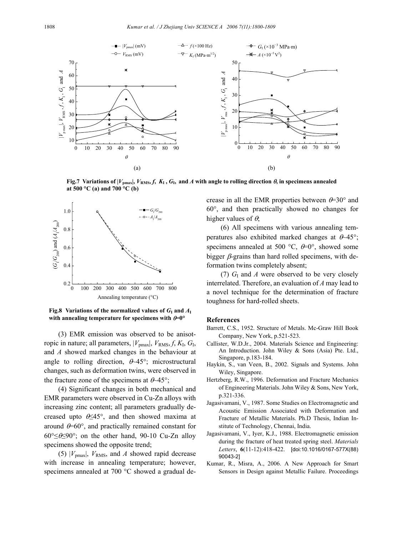

**Fig.7** Variations of  $|V_{pmax}|$ ,  $V_{RMS}$ ,  $f$ ,  $K_I$ ,  $G_I$ , and  $A$  with angle to rolling direction  $\theta$ , in specimens annealed **at 500 °C (a) and 700 °C (b)** 



**Fig.8 Variations of the normalized values of**  $G<sub>I</sub>$  **and**  $A<sub>I</sub>$ **with annealing temperature for specimens with** θ**=0°** 

(3) EMR emission was observed to be anisotropic in nature; all parameters,  $|V_{\text{pmax}}|$ ,  $V_{\text{RMS}}, f, K_{\text{I}}, G_{\text{I}},$ and *A* showed marked changes in the behaviour at angle to rolling direction,  $\theta$ -45°; microstructural changes, such as deformation twins, were observed in the fracture zone of the specimens at  $\theta$ -45°;

(4) Significant changes in both mechanical and EMR parameters were observed in Cu-Zn alloys with increasing zinc content; all parameters gradually decreased upto  $6\leq 45^\circ$ , and then showed maxima at around  $\theta$ =60°, and practically remained constant for 60°≤θ≤90°; on the other hand, 90-10 Cu-Zn alloy specimens showed the opposite trend;

(5)  $|V_{\text{pmax}}|$ ,  $V_{\text{RMS}}$ , and A showed rapid decrease with increase in annealing temperature; however, specimens annealed at 700 °C showed a gradual de-

crease in all the EMR properties between  $\theta$ =30° and 60°, and then practically showed no changes for higher values of  $\theta$ ;

(6) All specimens with various annealing temperatures also exhibited marked changes at  $\theta$ -45°; specimens annealed at 500 °C,  $\theta$ =0°, showed some bigger  $\beta$ -grains than hard rolled specimens, with deformation twins completely absent;

(7)  $G<sub>I</sub>$  and *A* were observed to be very closely interrelated. Therefore, an evaluation of *A* may lead to a novel technique for the determination of fracture toughness for hard-rolled sheets.

#### **References**

- Barrett, C.S., 1952. Structure of Metals. Mc-Graw Hill Book Company, New York, p.521-523.
- Callister, W.D.Jr., 2004. Materials Science and Engineering: An Introduction. John Wiley & Sons (Asia) Pte. Ltd., Singapore, p.183-184.
- Haykin, S., van Veen, B., 2002. Signals and Systems. John Wiley, Singapore.
- Hertzberg, R.W., 1996. Deformation and Fracture Mechanics of Engineering Materials. John Wiley & Sons, New York, p.321-336.
- Jagasivamani, V., 1987. Some Studies on Electromagnetic and Acoustic Emission Associated with Deformation and Fracture of Metallic Materials. Ph.D Thesis, Indian Institute of Technology, Chennai, India.
- Jagasivamani, V., Iyer, K.J., 1988. Electromagnetic emission during the fracture of heat treated spring steel. *Materials Letters*, **6**(11-12):418-422. [doi:10.1016/0167-577X(88) 90043-2]
- Kumar, R., Misra, A., 2006. A New Approach for Smart Sensors in Design against Metallic Failure. Proceedings